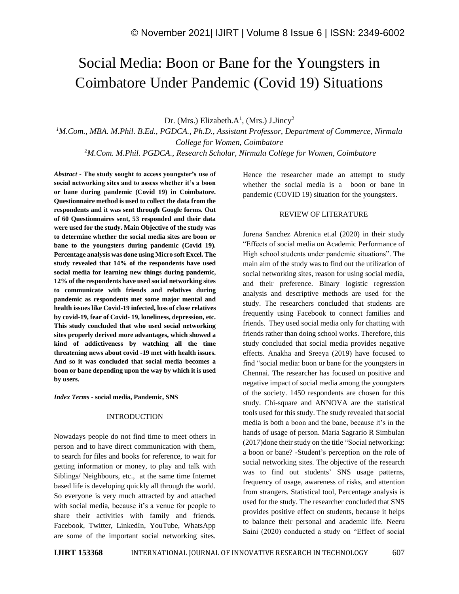# Social Media: Boon or Bane for the Youngsters in Coimbatore Under Pandemic (Covid 19) Situations

Dr. (Mrs.) Elizabeth. $A^1$ , (Mrs.) J.Jincy<sup>2</sup>

*<sup>1</sup>M.Com., MBA. M.Phil. B.Ed., PGDCA., Ph.D., Assistant Professor, Department of Commerce, Nirmala College for Women, Coimbatore <sup>2</sup>M.Com. M.Phil. PGDCA., Research Scholar, Nirmala College for Women, Coimbatore*

*Abstract -* **The study sought to access youngster's use of social networking sites and to assess whether it's a boon or bane during pandemic (Covid 19) in Coimbatore. Questionnaire method is used to collect the data from the respondents and it was sent through Google forms. Out of 60 Questionnaires sent, 53 responded and their data were used for the study. Main Objective of the study was to determine whether the social media sites are boon or bane to the youngsters during pandemic (Covid 19). Percentage analysis was done using Micro soft Excel. The study revealed that 14% of the respondents have used social media for learning new things during pandemic, 12% of the respondents have used social networking sites to communicate with friends and relatives during pandemic as respondents met some major mental and health issues like Covid-19 infected, loss of close relatives by covid-19, fear of Covid- 19, loneliness, depression, etc. This study concluded that who used social networking sites properly derived more advantages, which showed a kind of addictiveness by watching all the time threatening news about covid -19 met with health issues. And so it was concluded that social media becomes a boon or bane depending upon the way by which it is used by users.**

*Index Terms -* **social media, Pandemic, SNS**

## INTRODUCTION

Nowadays people do not find time to meet others in person and to have direct communication with them, to search for files and books for reference, to wait for getting information or money, to play and talk with Siblings/ Neighbours, etc., at the same time Internet based life is developing quickly all through the world. So everyone is very much attracted by and attached with social media, because it's a venue for people to share their activities with family and friends. Facebook, Twitter, LinkedIn, YouTube, WhatsApp are some of the important social networking sites. Hence the researcher made an attempt to study whether the social media is a boon or bane in pandemic (COVID 19) situation for the youngsters.

## REVIEW OF LITERATURE

Jurena Sanchez Abrenica et.al (2020) in their study "Effects of social media on Academic Performance of High school students under pandemic situations". The main aim of the study was to find out the utilization of social networking sites, reason for using social media, and their preference. Binary logistic regression analysis and descriptive methods are used for the study. The researchers concluded that students are frequently using Facebook to connect families and friends. They used social media only for chatting with friends rather than doing school works. Therefore, this study concluded that social media provides negative effects. Anakha and Sreeya (2019) have focused to find "social media: boon or bane for the youngsters in Chennai. The researcher has focused on positive and negative impact of social media among the youngsters of the society. 1450 respondents are chosen for this study. Chi-square and ANNOVA are the statistical tools used for this study. The study revealed that social media is both a boon and the bane, because it's in the hands of usage of person. Maria Sagrario R Simbulan (2017)done their study on the title "Social networking: a boon or bane? -Student's perception on the role of social networking sites. The objective of the research was to find out students' SNS usage patterns, frequency of usage, awareness of risks, and attention from strangers. Statistical tool, Percentage analysis is used for the study. The researcher concluded that SNS provides positive effect on students, because it helps to balance their personal and academic life. Neeru Saini (2020) conducted a study on "Effect of social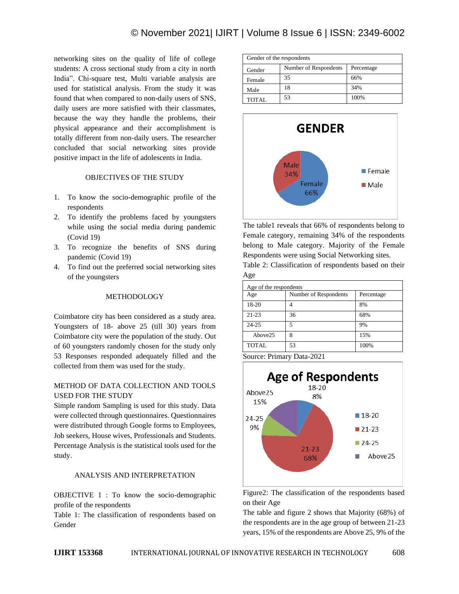networking sites on the quality of life of college students: A cross sectional study from a city in north India". Chi-square test, Multi variable analysis are used for statistical analysis. From the study it was found that when compared to non-daily users of SNS, daily users are more satisfied with their classmates, because the way they handle the problems, their physical appearance and their accomplishment is totally different from non-daily users. The researcher concluded that social networking sites provide positive impact in the life of adolescents in India.

## OBJECTIVES OF THE STUDY

- 1. To know the socio-demographic profile of the respondents
- 2. To identify the problems faced by youngsters while using the social media during pandemic (Covid 19)
- 3. To recognize the benefits of SNS during pandemic (Covid 19)
- 4. To find out the preferred social networking sites of the youngsters

## METHODOLOGY

Coimbatore city has been considered as a study area. Youngsters of 18- above 25 (till 30) years from Coimbatore city were the population of the study. Out of 60 youngsters randomly chosen for the study only 53 Responses responded adequately filled and the collected from them was used for the study.

## METHOD OF DATA COLLECTION AND TOOLS USED FOR THE STUDY

Simple random Sampling is used for this study. Data were collected through questionnaires. Questionnaires were distributed through Google forms to Employees, Job seekers, House wives, Professionals and Students. Percentage Analysis is the statistical tools used for the study.

## ANALYSIS AND INTERPRETATION

OBJECTIVE 1 : To know the socio-demographic profile of the respondents

Table 1: The classification of respondents based on Gender

| Gender of the respondents |                       |            |  |  |
|---------------------------|-----------------------|------------|--|--|
| Gender                    | Number of Respondents | Percentage |  |  |
| Female                    | 35                    | 66%        |  |  |
| Male                      | 18                    | 34%        |  |  |
| TOTAL                     | 53                    | 100%       |  |  |



The table1 reveals that 66% of respondents belong to Female category, remaining 34% of the respondents belong to Male category. Majority of the Female Respondents were using Social Networking sites.

Table 2: Classification of respondents based on their Age

| Age of the respondents |                                     |      |  |  |
|------------------------|-------------------------------------|------|--|--|
| Age                    | Number of Respondents<br>Percentage |      |  |  |
| 18-20                  |                                     | 8%   |  |  |
| $21 - 23$              | 36                                  | 68%  |  |  |
| $24 - 25$              | 5                                   | 9%   |  |  |
| Above25                | 8                                   | 15%  |  |  |
| <b>TOTAL</b>           | 53                                  | 100% |  |  |

Source: Primary Data-2021



Figure2: The classification of the respondents based on their Age

The table and figure 2 shows that Majority (68%) of the respondents are in the age group of between 21-23 years, 15% of the respondents are Above 25, 9% of the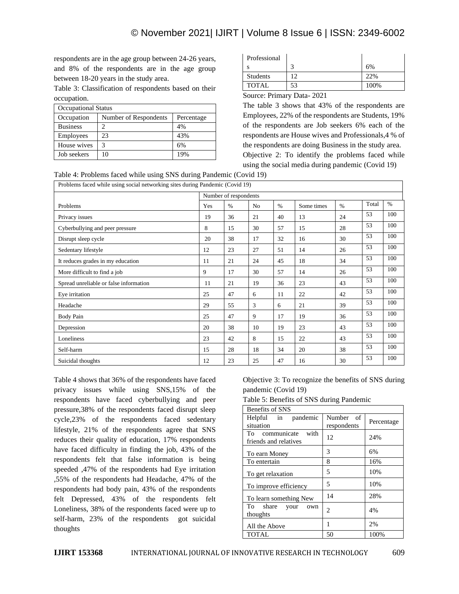respondents are in the age group between 24-26 years, and 8% of the respondents are in the age group between 18-20 years in the study area.

Table 3: Classification of respondents based on their occupation.

| <b>Occupational Status</b> |                       |            |  |  |
|----------------------------|-----------------------|------------|--|--|
| Occupation                 | Number of Respondents | Percentage |  |  |
| <b>Business</b>            |                       | 4%         |  |  |
| Employees                  | 23                    | 43%        |  |  |
| House wives                | 3                     | 6%         |  |  |
| Job seekers                | 10                    | 19%        |  |  |

| Professional                       |                                              |      |
|------------------------------------|----------------------------------------------|------|
|                                    |                                              | 6%   |
| <b>Students</b>                    | ി                                            | 22%  |
| <b>TOTAL</b>                       | 53                                           | 100% |
| $\overline{\phantom{a}}$<br>$\sim$ | $\sim$ $\sim$ $\sim$ $\sim$<br>$\sim$ $\sim$ |      |

Source: Primary Data- 2021

The table 3 shows that 43% of the respondents are Employees, 22% of the respondents are Students, 19% of the respondents are Job seekers 6% each of the respondents are House wives and Professionals,4 % of the respondents are doing Business in the study area. Objective 2: To identify the problems faced while using the social media during pandemic (Covid 19)



| Problems faced while using social networking sites during Pandemic (Covid 19) |                       |      |                |      |            |      |       |      |
|-------------------------------------------------------------------------------|-----------------------|------|----------------|------|------------|------|-------|------|
|                                                                               | Number of respondents |      |                |      |            |      |       |      |
| Problems                                                                      | Yes                   | $\%$ | N <sub>o</sub> | $\%$ | Some times | $\%$ | Total | $\%$ |
| Privacy issues                                                                | 19                    | 36   | 21             | 40   | 13         | 24   | 53    | 100  |
| Cyberbullying and peer pressure                                               | 8                     | 15   | 30             | 57   | 15         | 28   | 53    | 100  |
| Disrupt sleep cycle                                                           | 20                    | 38   | 17             | 32   | 16         | 30   | 53    | 100  |
| Sedentary lifestyle                                                           | 12                    | 23   | 27             | 51   | 14         | 26   | 53    | 100  |
| It reduces grades in my education                                             | 11                    | 21   | 24             | 45   | 18         | 34   | 53    | 100  |
| More difficult to find a job                                                  | 9                     | 17   | 30             | 57   | 14         | 26   | 53    | 100  |
| Spread unreliable or false information                                        | 11                    | 21   | 19             | 36   | 23         | 43   | 53    | 100  |
| Eye irritation                                                                | 25                    | 47   | 6              | 11   | 22         | 42   | 53    | 100  |
| Headache                                                                      | 29                    | 55   | 3              | 6    | 21         | 39   | 53    | 100  |
| <b>Body Pain</b>                                                              | 25                    | 47   | 9              | 17   | 19         | 36   | 53    | 100  |
| Depression                                                                    | 20                    | 38   | 10             | 19   | 23         | 43   | 53    | 100  |
| Loneliness                                                                    | 23                    | 42   | 8              | 15   | 22         | 43   | 53    | 100  |
| Self-harm                                                                     | 15                    | 28   | 18             | 34   | 20         | 38   | 53    | 100  |
| Suicidal thoughts                                                             | 12                    | 23   | 25             | 47   | 16         | 30   | 53    | 100  |

Table 4 shows that 36% of the respondents have faced privacy issues while using SNS,15% of the respondents have faced cyberbullying and peer pressure,38% of the respondents faced disrupt sleep cycle,23% of the respondents faced sedentary lifestyle, 21% of the respondents agree that SNS reduces their quality of education, 17% respondents have faced difficulty in finding the job, 43% of the respondents felt that false information is being speeded ,47% of the respondents had Eye irritation ,55% of the respondents had Headache, 47% of the respondents had body pain, 43% of the respondents felt Depressed, 43% of the respondents felt Loneliness, 38% of the respondents faced were up to self-harm, 23% of the respondents got suicidal thoughts

Objective 3: To recognize the benefits of SNS during pandemic (Covid 19)

Table 5: Benefits of SNS during Pandemic

| Benefits of SNS                                 |                          |            |  |  |
|-------------------------------------------------|--------------------------|------------|--|--|
| Helpful in pandemic<br>situation                | Number of<br>respondents | Percentage |  |  |
| To communicate<br>with<br>friends and relatives | 12                       | 24%        |  |  |
| To earn Money                                   | 3                        | 6%         |  |  |
| To entertain                                    | 8                        | 16%        |  |  |
| To get relaxation                               | 5                        | 10%        |  |  |
| To improve efficiency                           | 5                        | 10%        |  |  |
| To learn something New                          | 14                       | 28%        |  |  |
| To share your<br>own<br>thoughts                | $\overline{c}$           | 4%         |  |  |
| All the Above                                   | 1                        | 2%         |  |  |
| <b>TOTAL</b>                                    | 50                       | 100%       |  |  |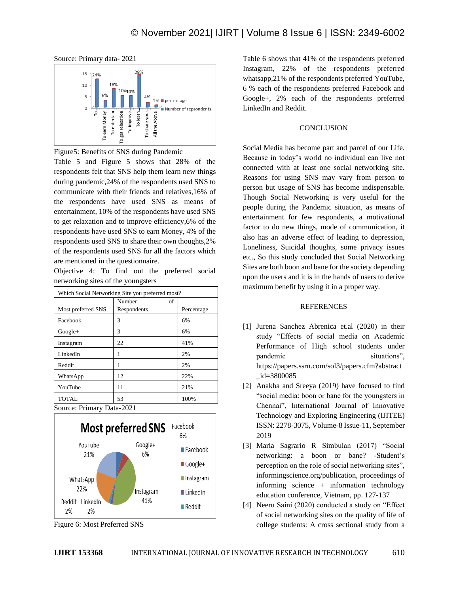

Source: Primary data- 2021

Figure5: Benefits of SNS during Pandemic

Table 5 and Figure 5 shows that 28% of the respondents felt that SNS help them learn new things during pandemic,24% of the respondents used SNS to communicate with their friends and relatives,16% of the respondents have used SNS as means of entertainment, 10% of the respondents have used SNS to get relaxation and to improve efficiency,6% of the respondents have used SNS to earn Money, 4% of the respondents used SNS to share their own thoughts,2% of the respondents used SNS for all the factors which are mentioned in the questionnaire.

Objective 4: To find out the preferred social networking sites of the youngsters

| Which Social Networking Site you preferred most? |              |            |  |  |
|--------------------------------------------------|--------------|------------|--|--|
|                                                  | Number<br>of |            |  |  |
| Most preferred SNS                               | Respondents  | Percentage |  |  |
| Facebook                                         | 3            | 6%         |  |  |
| $Google+$                                        | 3            | 6%         |  |  |
| Instagram                                        | 22           | 41%        |  |  |
| LinkedIn                                         | 1            | 2%         |  |  |
| Reddit                                           |              | 2%         |  |  |
| WhatsApp                                         | 12           | 22%        |  |  |
| YouTube                                          | 11           | 21%        |  |  |
| <b>TOTAL</b>                                     | 53           | 100%       |  |  |

Source: Primary Data-2021



Figure 6: Most Preferred SNS

Table 6 shows that 41% of the respondents preferred Instagram, 22% of the respondents preferred whatsapp,21% of the respondents preferred YouTube, 6 % each of the respondents preferred Facebook and Google+, 2% each of the respondents preferred LinkedIn and Reddit.

## **CONCLUSION**

Social Media has become part and parcel of our Life. Because in today's world no individual can live not connected with at least one social networking site. Reasons for using SNS may vary from person to person but usage of SNS has become indispensable. Though Social Networking is very useful for the people during the Pandemic situation, as means of entertainment for few respondents, a motivational factor to do new things, mode of communication, it also has an adverse effect of leading to depression, Loneliness, Suicidal thoughts, some privacy issues etc., So this study concluded that Social Networking Sites are both boon and bane for the society depending upon the users and it is in the hands of users to derive maximum benefit by using it in a proper way.

#### REFERENCES

- [1] Jurena Sanchez Abrenica et.al (2020) in their study "Effects of social media on Academic Performance of High school students under pandemic situations", https://papers.ssrn.com/sol3/papers.cfm?abstract \_id=3800085
- [2] Anakha and Sreeya (2019) have focused to find "social media: boon or bane for the youngsters in Chennai", International Journal of Innovative Technology and Exploring Engineering (IJITEE) ISSN: 2278-3075, Volume-8 Issue-11, September 2019
- [3] Maria Sagrario R Simbulan (2017) "Social networking: a boon or bane? -Student's perception on the role of social networking sites", informingscience.org/publication, proceedings of informing science + information technology education conference, Vietnam, pp. 127-137
- [4] Neeru Saini (2020) conducted a study on "Effect of social networking sites on the quality of life of college students: A cross sectional study from a